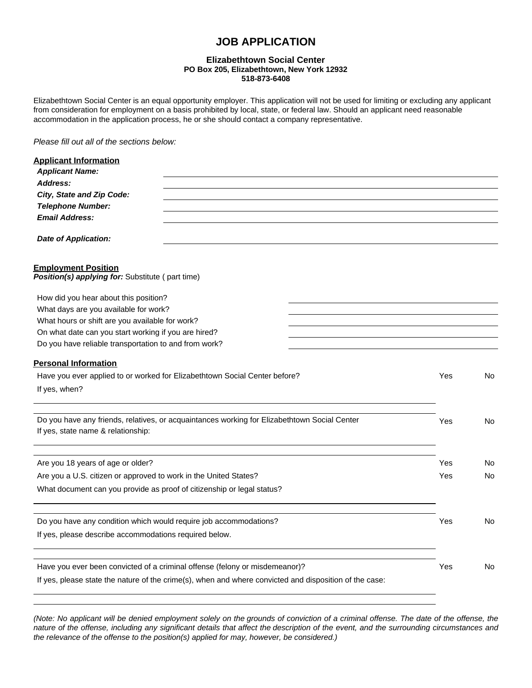# **JOB APPLICATION**

### **Elizabethtown Social Center PO Box 205, Elizabethtown, New York 12932 518-873-6408**

Elizabethtown Social Center is an equal opportunity employer. This application will not be used for limiting or excluding any applicant from consideration for employment on a basis prohibited by local, state, or federal law. Should an applicant need reasonable accommodation in the application process, he or she should contact a company representative.

*Please fill out all of the sections below:*

| <b>Applicant Information</b>                                                                                  |     |     |  |  |  |
|---------------------------------------------------------------------------------------------------------------|-----|-----|--|--|--|
| <b>Applicant Name:</b>                                                                                        |     |     |  |  |  |
| Address:                                                                                                      |     |     |  |  |  |
| City, State and Zip Code:                                                                                     |     |     |  |  |  |
| <b>Telephone Number:</b>                                                                                      |     |     |  |  |  |
| <b>Email Address:</b>                                                                                         |     |     |  |  |  |
| <b>Date of Application:</b>                                                                                   |     |     |  |  |  |
| <b>Employment Position</b><br>Position(s) applying for: Substitute (part time)                                |     |     |  |  |  |
| How did you hear about this position?                                                                         |     |     |  |  |  |
| What days are you available for work?                                                                         |     |     |  |  |  |
| What hours or shift are you available for work?                                                               |     |     |  |  |  |
|                                                                                                               |     |     |  |  |  |
| On what date can you start working if you are hired?<br>Do you have reliable transportation to and from work? |     |     |  |  |  |
|                                                                                                               |     |     |  |  |  |
| <b>Personal Information</b>                                                                                   |     |     |  |  |  |
| Have you ever applied to or worked for Elizabethtown Social Center before?                                    | Yes | No  |  |  |  |
| If yes, when?                                                                                                 |     |     |  |  |  |
| Do you have any friends, relatives, or acquaintances working for Elizabethtown Social Center                  |     |     |  |  |  |
| If yes, state name & relationship:                                                                            | Yes | No. |  |  |  |
|                                                                                                               | Yes |     |  |  |  |
| Are you 18 years of age or older?                                                                             |     | No. |  |  |  |
| Are you a U.S. citizen or approved to work in the United States?                                              | Yes | No  |  |  |  |
| What document can you provide as proof of citizenship or legal status?                                        |     |     |  |  |  |
| Do you have any condition which would require job accommodations?                                             | Yes | No. |  |  |  |
| If yes, please describe accommodations required below.                                                        |     |     |  |  |  |
|                                                                                                               |     |     |  |  |  |
| Have you ever been convicted of a criminal offense (felony or misdemeanor)?                                   | Yes | No  |  |  |  |
| If yes, please state the nature of the crime(s), when and where convicted and disposition of the case:        |     |     |  |  |  |

*(Note: No applicant will be denied employment solely on the grounds of conviction of a criminal offense. The date of the offense, the nature of the offense, including any significant details that affect the description of the event, and the surrounding circumstances and the relevance of the offense to the position(s) applied for may, however, be considered.)*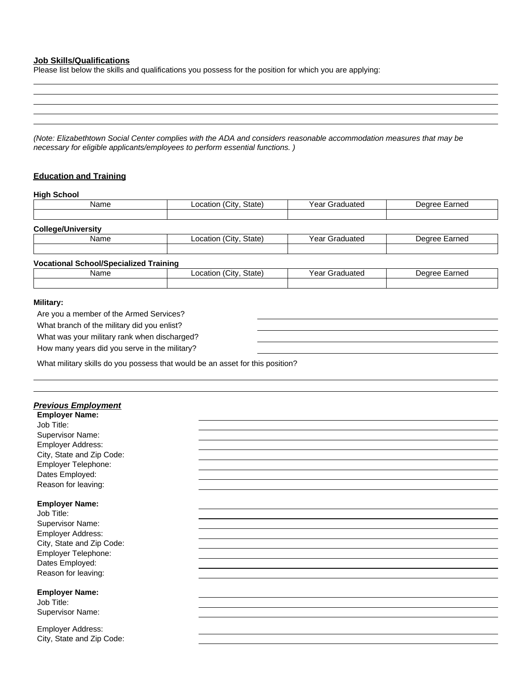#### **Job Skills/Qualifications**

Please list below the skills and qualifications you possess for the position for which you are applying:

*(Note: Elizabethtown Social Center complies with the ADA and considers reasonable accommodation measures that may be necessary for eligible applicants/employees to perform essential functions. )*

## **Education and Training**

| Name                                                  | Location (City, State) | Year Graduated | Degree Earned |
|-------------------------------------------------------|------------------------|----------------|---------------|
| <b>College/University</b>                             |                        |                |               |
| Name                                                  | Location (City, State) | Year Graduated | Degree Earned |
| <b>Vocational School/Specialized Training</b><br>Name | Location (City, State) | Year Graduated | Degree Earned |

# **Military:**

Are you a member of the Armed Services? What branch of the military did you enlist? What was your military rank when discharged?

How many years did you serve in the military?

What military skills do you possess that would be an asset for this position?

| <b>Previous Employment</b><br><b>Employer Name:</b><br>Job Title:<br>Supervisor Name:<br>Employer Address:<br>City, State and Zip Code:<br>Employer Telephone:<br>Dates Employed:<br>Reason for leaving: |  |
|----------------------------------------------------------------------------------------------------------------------------------------------------------------------------------------------------------|--|
| <b>Employer Name:</b><br>Job Title:<br>Supervisor Name:<br>Employer Address:<br>City, State and Zip Code:<br>Employer Telephone:<br>Dates Employed:<br>Reason for leaving:                               |  |
| <b>Employer Name:</b><br>Job Title:<br>Supervisor Name:                                                                                                                                                  |  |
| Employer Address:<br>City, State and Zip Code:                                                                                                                                                           |  |